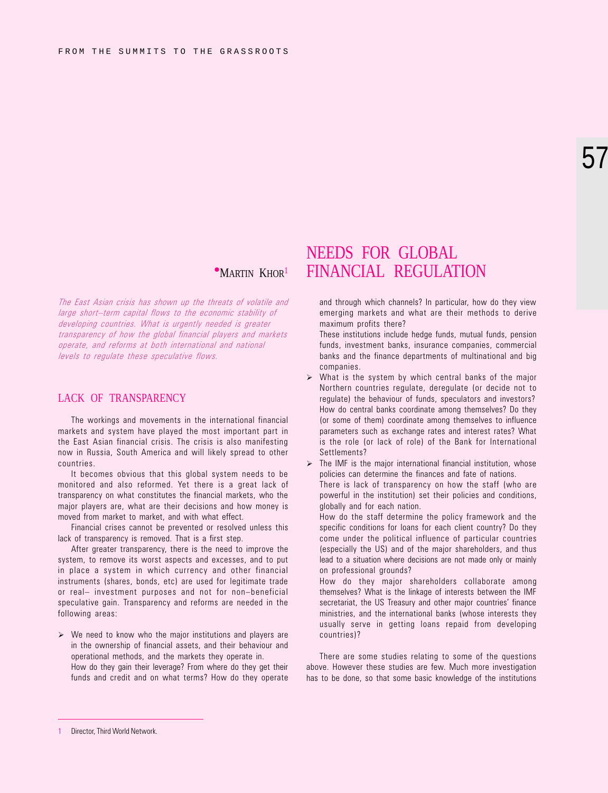# 57

The East Asian crisis has shown up the threats of volatile and large short-term capital flows to the economic stability of developing countries. What is urgently needed is greater transparency of how the global financial players and markets operate, and reforms at both international and national levels to regulate these speculative flows.

#### LACK OF TRANSPARENCY

The workings and movements in the international financial markets and system have played the most important part in the East Asian financial crisis. The crisis is also manifesting now in Russia, South America and will likely spread to other countries.

It becomes obvious that this global system needs to be monitored and also reformed. Yet there is a great lack of transparency on what constitutes the financial markets, who the major players are, what are their decisions and how money is moved from market to market, and with what effect.

Financial crises cannot be prevented or resolved unless this lack of transparency is removed. That is a first step.

After greater transparency, there is the need to improve the system, to remove its worst aspects and excesses, and to put in place a system in which currency and other financial instruments (shares, bonds, etc) are used for legitimate trade or real- investment purposes and not for non-beneficial speculative gain. Transparency and reforms are needed in the following areas:

 $\triangleright$  We need to know who the major institutions and players are in the ownership of financial assets, and their behaviour and operational methods, and the markets they operate in. How do they gain their leverage? From where do they get their funds and credit and on what terms? How do they operate

## NEEDS FOR GLOBAL **MARTIN KHOR1 FINANCIAL REGULATION**

and through which channels? In particular, how do they view emerging markets and what are their methods to derive maximum profits there?

These institutions include hedge funds, mutual funds, pension funds, investment banks, insurance companies, commercial banks and the finance departments of multinational and big companies.

 $\triangleright$  What is the system by which central banks of the major Northern countries regulate, deregulate (or decide not to regulate) the behaviour of funds, speculators and investors? How do central banks coordinate among themselves? Do they (or some of them) coordinate among themselves to influence parameters such as exchange rates and interest rates? What is the role (or lack of role) of the Bank for International Settlements?

 $\triangleright$  The IMF is the major international financial institution, whose policies can determine the finances and fate of nations.

There is lack of transparency on how the staff (who are powerful in the institution) set their policies and conditions, globally and for each nation.

How do the staff determine the policy framework and the specific conditions for loans for each client country? Do they come under the political influence of particular countries (especially the US) and of the major shareholders, and thus lead to a situation where decisions are not made only or mainly on professional grounds?

How do they major shareholders collaborate among themselves? What is the linkage of interests between the IMF secretariat, the US Treasury and other major countries' finance ministries, and the international banks (whose interests they usually serve in getting loans repaid from developing countries)?

There are some studies relating to some of the questions above. However these studies are few. Much more investigation has to be done, so that some basic knowledge of the institutions

Director, Third World Network.